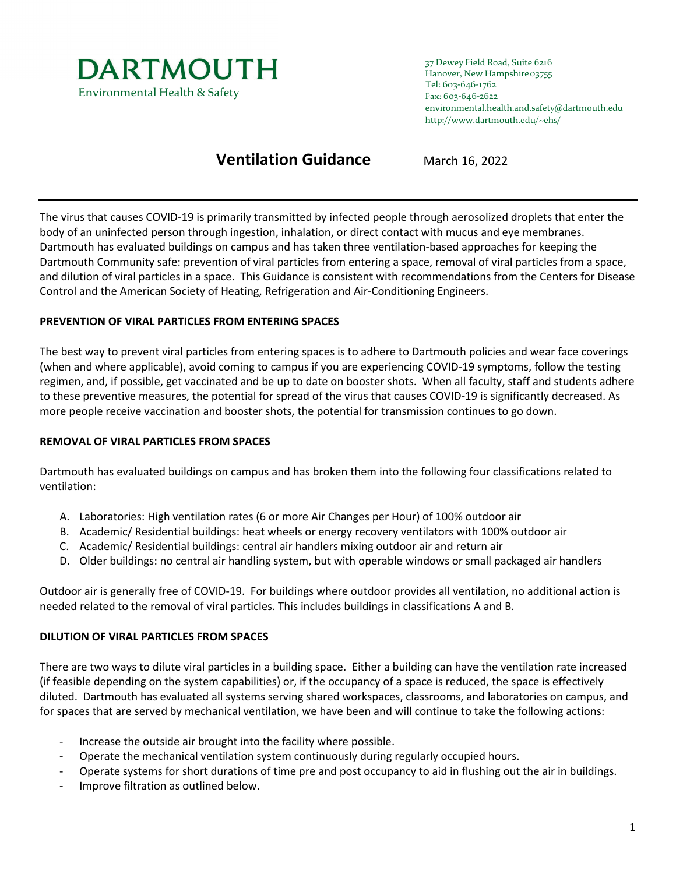

37 Dewey Field Road, Suite 6216 Hanover, New Hampshire03755 Tel: 603-646-1762 Fax: 603-646-2622 environmental.health.and.safety@dartmouth.edu http://www.dartmouth.edu/~ehs/

# **Ventilation Guidance** March 16, 2022

The virus that causes COVID-19 is primarily transmitted by infected people through aerosolized droplets that enter the body of an uninfected person through ingestion, inhalation, or direct contact with mucus and eye membranes. Dartmouth has evaluated buildings on campus and has taken three ventilation-based approaches for keeping the Dartmouth Community safe: prevention of viral particles from entering a space, removal of viral particles from a space, and dilution of viral particles in a space. This Guidance is consistent with recommendations from the Centers for Disease Control and the American Society of Heating, Refrigeration and Air-Conditioning Engineers.

## **PREVENTION OF VIRAL PARTICLES FROM ENTERING SPACES**

The best way to prevent viral particles from entering spaces is to adhere to Dartmouth policies and wear face coverings (when and where applicable), avoid coming to campus if you are experiencing COVID-19 symptoms, follow the testing regimen, and, if possible, get vaccinated and be up to date on booster shots. When all faculty, staff and students adhere to these preventive measures, the potential for spread of the virus that causes COVID-19 is significantly decreased. As more people receive vaccination and booster shots, the potential for transmission continues to go down.

### **REMOVAL OF VIRAL PARTICLES FROM SPACES**

Dartmouth has evaluated buildings on campus and has broken them into the following four classifications related to ventilation:

- A. Laboratories: High ventilation rates (6 or more Air Changes per Hour) of 100% outdoor air
- B. Academic/ Residential buildings: heat wheels or energy recovery ventilators with 100% outdoor air
- C. Academic/ Residential buildings: central air handlers mixing outdoor air and return air
- D. Older buildings: no central air handling system, but with operable windows or small packaged air handlers

Outdoor air is generally free of COVID-19. For buildings where outdoor provides all ventilation, no additional action is needed related to the removal of viral particles. This includes buildings in classifications A and B.

### **DILUTION OF VIRAL PARTICLES FROM SPACES**

There are two ways to dilute viral particles in a building space. Either a building can have the ventilation rate increased (if feasible depending on the system capabilities) or, if the occupancy of a space is reduced, the space is effectively diluted. Dartmouth has evaluated all systems serving shared workspaces, classrooms, and laboratories on campus, and for spaces that are served by mechanical ventilation, we have been and will continue to take the following actions:

- Increase the outside air brought into the facility where possible.
- Operate the mechanical ventilation system continuously during regularly occupied hours.
- Operate systems for short durations of time pre and post occupancy to aid in flushing out the air in buildings.
- Improve filtration as outlined below.